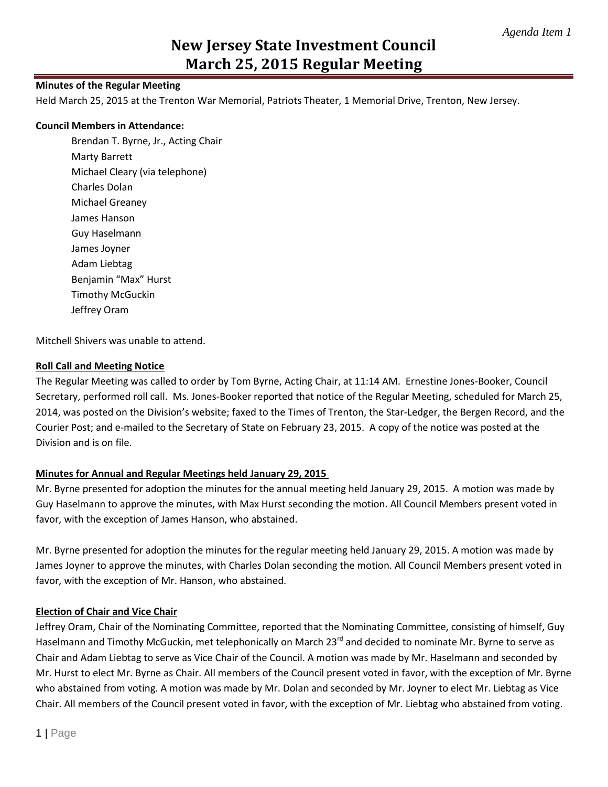## **Minutes of the Regular Meeting**

Held March 25, 2015 at the Trenton War Memorial, Patriots Theater, 1 Memorial Drive, Trenton, New Jersey.

## **Council Members in Attendance:**

Brendan T. Byrne, Jr., Acting Chair Marty Barrett Michael Cleary (via telephone) Charles Dolan Michael Greaney James Hanson Guy Haselmann James Joyner Adam Liebtag Benjamin "Max" Hurst Timothy McGuckin Jeffrey Oram

Mitchell Shivers was unable to attend.

## **Roll Call and Meeting Notice**

The Regular Meeting was called to order by Tom Byrne, Acting Chair, at 11:14 AM. Ernestine Jones-Booker, Council Secretary, performed roll call. Ms. Jones-Booker reported that notice of the Regular Meeting, scheduled for March 25, 2014, was posted on the Division's website; faxed to the Times of Trenton, the Star-Ledger, the Bergen Record, and the Courier Post; and e-mailed to the Secretary of State on February 23, 2015. A copy of the notice was posted at the Division and is on file.

# **Minutes for Annual and Regular Meetings held January 29, 2015**

Mr. Byrne presented for adoption the minutes for the annual meeting held January 29, 2015. A motion was made by Guy Haselmann to approve the minutes, with Max Hurst seconding the motion. All Council Members present voted in favor, with the exception of James Hanson, who abstained.

Mr. Byrne presented for adoption the minutes for the regular meeting held January 29, 2015. A motion was made by James Joyner to approve the minutes, with Charles Dolan seconding the motion. All Council Members present voted in favor, with the exception of Mr. Hanson, who abstained.

# **Election of Chair and Vice Chair**

Jeffrey Oram, Chair of the Nominating Committee, reported that the Nominating Committee, consisting of himself, Guy Haselmann and Timothy McGuckin, met telephonically on March 23<sup>rd</sup> and decided to nominate Mr. Byrne to serve as Chair and Adam Liebtag to serve as Vice Chair of the Council. A motion was made by Mr. Haselmann and seconded by Mr. Hurst to elect Mr. Byrne as Chair. All members of the Council present voted in favor, with the exception of Mr. Byrne who abstained from voting. A motion was made by Mr. Dolan and seconded by Mr. Joyner to elect Mr. Liebtag as Vice Chair. All members of the Council present voted in favor, with the exception of Mr. Liebtag who abstained from voting.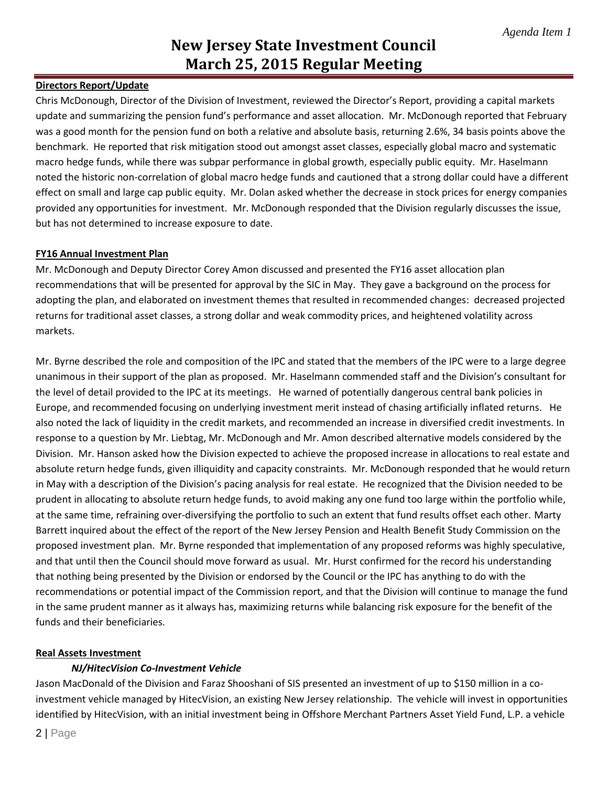# **Directors Report/Update**

Chris McDonough, Director of the Division of Investment, reviewed the Director's Report, providing a capital markets update and summarizing the pension fund's performance and asset allocation. Mr. McDonough reported that February was a good month for the pension fund on both a relative and absolute basis, returning 2.6%, 34 basis points above the benchmark. He reported that risk mitigation stood out amongst asset classes, especially global macro and systematic macro hedge funds, while there was subpar performance in global growth, especially public equity. Mr. Haselmann noted the historic non-correlation of global macro hedge funds and cautioned that a strong dollar could have a different effect on small and large cap public equity. Mr. Dolan asked whether the decrease in stock prices for energy companies provided any opportunities for investment. Mr. McDonough responded that the Division regularly discusses the issue, but has not determined to increase exposure to date.

## **FY16 Annual Investment Plan**

Mr. McDonough and Deputy Director Corey Amon discussed and presented the FY16 asset allocation plan recommendations that will be presented for approval by the SIC in May. They gave a background on the process for adopting the plan, and elaborated on investment themes that resulted in recommended changes: decreased projected returns for traditional asset classes, a strong dollar and weak commodity prices, and heightened volatility across markets.

Mr. Byrne described the role and composition of the IPC and stated that the members of the IPC were to a large degree unanimous in their support of the plan as proposed. Mr. Haselmann commended staff and the Division's consultant for the level of detail provided to the IPC at its meetings. He warned of potentially dangerous central bank policies in Europe, and recommended focusing on underlying investment merit instead of chasing artificially inflated returns. He also noted the lack of liquidity in the credit markets, and recommended an increase in diversified credit investments. In response to a question by Mr. Liebtag, Mr. McDonough and Mr. Amon described alternative models considered by the Division. Mr. Hanson asked how the Division expected to achieve the proposed increase in allocations to real estate and absolute return hedge funds, given illiquidity and capacity constraints. Mr. McDonough responded that he would return in May with a description of the Division's pacing analysis for real estate. He recognized that the Division needed to be prudent in allocating to absolute return hedge funds, to avoid making any one fund too large within the portfolio while, at the same time, refraining over-diversifying the portfolio to such an extent that fund results offset each other. Marty Barrett inquired about the effect of the report of the New Jersey Pension and Health Benefit Study Commission on the proposed investment plan. Mr. Byrne responded that implementation of any proposed reforms was highly speculative, and that until then the Council should move forward as usual. Mr. Hurst confirmed for the record his understanding that nothing being presented by the Division or endorsed by the Council or the IPC has anything to do with the recommendations or potential impact of the Commission report, and that the Division will continue to manage the fund in the same prudent manner as it always has, maximizing returns while balancing risk exposure for the benefit of the funds and their beneficiaries.

## **Real Assets Investment**

#### *NJ/HitecVision Co-Investment Vehicle*

Jason MacDonald of the Division and Faraz Shooshani of SIS presented an investment of up to \$150 million in a coinvestment vehicle managed by HitecVision, an existing New Jersey relationship. The vehicle will invest in opportunities identified by HitecVision, with an initial investment being in Offshore Merchant Partners Asset Yield Fund, L.P. a vehicle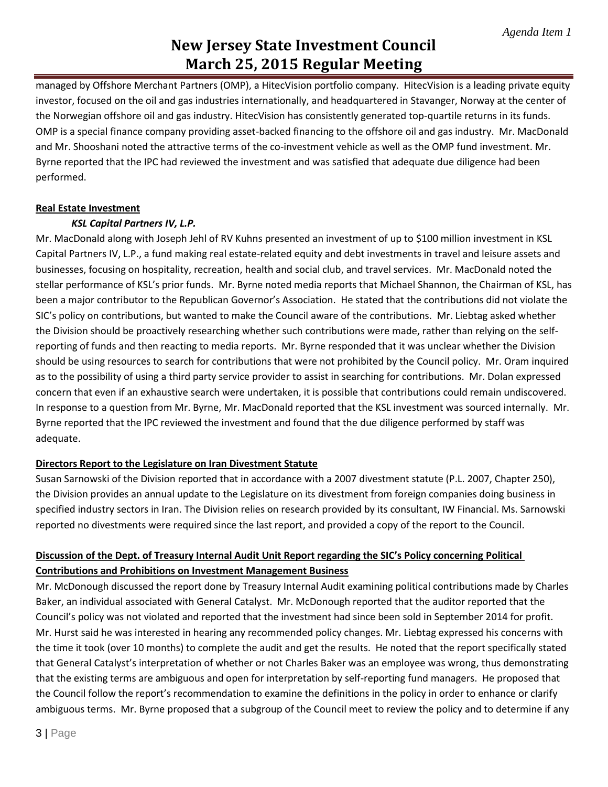managed by Offshore Merchant Partners (OMP), a HitecVision portfolio company. HitecVision is a leading private equity investor, focused on the oil and gas industries internationally, and headquartered in Stavanger, Norway at the center of the Norwegian offshore oil and gas industry. HitecVision has consistently generated top-quartile returns in its funds. OMP is a special finance company providing asset-backed financing to the offshore oil and gas industry. Mr. MacDonald and Mr. Shooshani noted the attractive terms of the co-investment vehicle as well as the OMP fund investment. Mr. Byrne reported that the IPC had reviewed the investment and was satisfied that adequate due diligence had been performed.

# **Real Estate Investment**

# *KSL Capital Partners IV, L.P.*

Mr. MacDonald along with Joseph Jehl of RV Kuhns presented an investment of up to \$100 million investment in KSL Capital Partners IV, L.P., a fund making real estate-related equity and debt investments in travel and leisure assets and businesses, focusing on hospitality, recreation, health and social club, and travel services. Mr. MacDonald noted the stellar performance of KSL's prior funds. Mr. Byrne noted media reports that Michael Shannon, the Chairman of KSL, has been a major contributor to the Republican Governor's Association. He stated that the contributions did not violate the SIC's policy on contributions, but wanted to make the Council aware of the contributions. Mr. Liebtag asked whether the Division should be proactively researching whether such contributions were made, rather than relying on the selfreporting of funds and then reacting to media reports. Mr. Byrne responded that it was unclear whether the Division should be using resources to search for contributions that were not prohibited by the Council policy. Mr. Oram inquired as to the possibility of using a third party service provider to assist in searching for contributions. Mr. Dolan expressed concern that even if an exhaustive search were undertaken, it is possible that contributions could remain undiscovered. In response to a question from Mr. Byrne, Mr. MacDonald reported that the KSL investment was sourced internally. Mr. Byrne reported that the IPC reviewed the investment and found that the due diligence performed by staff was adequate.

# **Directors Report to the Legislature on Iran Divestment Statute**

Susan Sarnowski of the Division reported that in accordance with a 2007 divestment statute (P.L. 2007, Chapter 250), the Division provides an annual update to the Legislature on its divestment from foreign companies doing business in specified industry sectors in Iran. The Division relies on research provided by its consultant, IW Financial. Ms. Sarnowski reported no divestments were required since the last report, and provided a copy of the report to the Council.

# **Discussion of the Dept. of Treasury Internal Audit Unit Report regarding the SIC's Policy concerning Political Contributions and Prohibitions on Investment Management Business**

Mr. McDonough discussed the report done by Treasury Internal Audit examining political contributions made by Charles Baker, an individual associated with General Catalyst. Mr. McDonough reported that the auditor reported that the Council's policy was not violated and reported that the investment had since been sold in September 2014 for profit. Mr. Hurst said he was interested in hearing any recommended policy changes. Mr. Liebtag expressed his concerns with the time it took (over 10 months) to complete the audit and get the results. He noted that the report specifically stated that General Catalyst's interpretation of whether or not Charles Baker was an employee was wrong, thus demonstrating that the existing terms are ambiguous and open for interpretation by self-reporting fund managers. He proposed that the Council follow the report's recommendation to examine the definitions in the policy in order to enhance or clarify ambiguous terms. Mr. Byrne proposed that a subgroup of the Council meet to review the policy and to determine if any